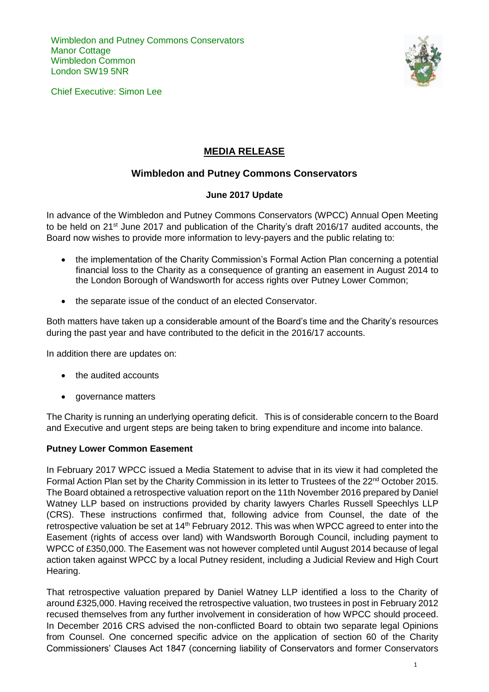Wimbledon and Putney Commons Conservators **Manor Cottage** Wimbledon Common London SW19 5NR

Chief Executive: Simon Lee



# **MEDIA RELEASE**

## **Wimbledon and Putney Commons Conservators**

### **June 2017 Update**

In advance of the Wimbledon and Putney Commons Conservators (WPCC) Annual Open Meeting to be held on 21<sup>st</sup> June 2017 and publication of the Charity's draft 2016/17 audited accounts, the Board now wishes to provide more information to levy-payers and the public relating to:

- the implementation of the Charity Commission's Formal Action Plan concerning a potential financial loss to the Charity as a consequence of granting an easement in August 2014 to the London Borough of Wandsworth for access rights over Putney Lower Common;
- the separate issue of the conduct of an elected Conservator.

Both matters have taken up a considerable amount of the Board's time and the Charity's resources during the past year and have contributed to the deficit in the 2016/17 accounts.

In addition there are updates on:

- the audited accounts
- governance matters

The Charity is running an underlying operating deficit. This is of considerable concern to the Board and Executive and urgent steps are being taken to bring expenditure and income into balance.

#### **Putney Lower Common Easement**

In February 2017 WPCC issued a Media Statement to advise that in its view it had completed the Formal Action Plan set by the Charity Commission in its letter to Trustees of the 22<sup>nd</sup> October 2015. The Board obtained a retrospective valuation report on the 11th November 2016 prepared by Daniel Watney LLP based on instructions provided by charity lawyers Charles Russell Speechlys LLP (CRS). These instructions confirmed that, following advice from Counsel, the date of the retrospective valuation be set at 14<sup>th</sup> February 2012. This was when WPCC agreed to enter into the Easement (rights of access over land) with Wandsworth Borough Council, including payment to WPCC of £350,000. The Easement was not however completed until August 2014 because of legal action taken against WPCC by a local Putney resident, including a Judicial Review and High Court Hearing.

That retrospective valuation prepared by Daniel Watney LLP identified a loss to the Charity of around £325,000. Having received the retrospective valuation, two trustees in post in February 2012 recused themselves from any further involvement in consideration of how WPCC should proceed. In December 2016 CRS advised the non-conflicted Board to obtain two separate legal Opinions from Counsel. One concerned specific advice on the application of section 60 of the Charity Commissioners' Clauses Act 1847 (concerning liability of Conservators and former Conservators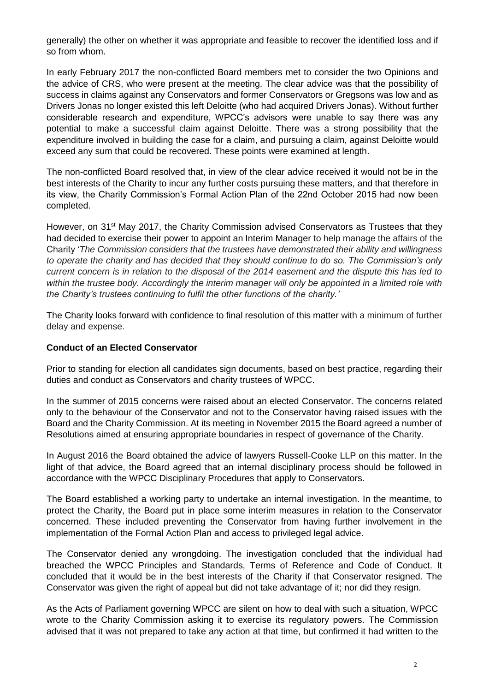generally) the other on whether it was appropriate and feasible to recover the identified loss and if so from whom.

In early February 2017 the non-conflicted Board members met to consider the two Opinions and the advice of CRS, who were present at the meeting. The clear advice was that the possibility of success in claims against any Conservators and former Conservators or Gregsons was low and as Drivers Jonas no longer existed this left Deloitte (who had acquired Drivers Jonas). Without further considerable research and expenditure, WPCC's advisors were unable to say there was any potential to make a successful claim against Deloitte. There was a strong possibility that the expenditure involved in building the case for a claim, and pursuing a claim, against Deloitte would exceed any sum that could be recovered. These points were examined at length.

The non-conflicted Board resolved that, in view of the clear advice received it would not be in the best interests of the Charity to incur any further costs pursuing these matters, and that therefore in its view, the Charity Commission's Formal Action Plan of the 22nd October 2015 had now been completed.

However, on 31<sup>st</sup> May 2017, the Charity Commission advised Conservators as Trustees that they had decided to exercise their power to appoint an Interim Manager to help manage the affairs of the Charity '*The Commission considers that the trustees have demonstrated their ability and willingness to operate the charity and has decided that they should continue to do so. The Commission's only current concern is in relation to the disposal of the 2014 easement and the dispute this has led to*  within the trustee body. Accordingly the interim manager will only be appointed in a limited role with *the Charity's trustees continuing to fulfil the other functions of the charity.'*

The Charity looks forward with confidence to final resolution of this matter with a minimum of further delay and expense.

#### **Conduct of an Elected Conservator**

Prior to standing for election all candidates sign documents, based on best practice, regarding their duties and conduct as Conservators and charity trustees of WPCC.

In the summer of 2015 concerns were raised about an elected Conservator. The concerns related only to the behaviour of the Conservator and not to the Conservator having raised issues with the Board and the Charity Commission. At its meeting in November 2015 the Board agreed a number of Resolutions aimed at ensuring appropriate boundaries in respect of governance of the Charity.

In August 2016 the Board obtained the advice of lawyers Russell-Cooke LLP on this matter. In the light of that advice, the Board agreed that an internal disciplinary process should be followed in accordance with the WPCC Disciplinary Procedures that apply to Conservators.

The Board established a working party to undertake an internal investigation. In the meantime, to protect the Charity, the Board put in place some interim measures in relation to the Conservator concerned. These included preventing the Conservator from having further involvement in the implementation of the Formal Action Plan and access to privileged legal advice.

The Conservator denied any wrongdoing. The investigation concluded that the individual had breached the WPCC Principles and Standards, Terms of Reference and Code of Conduct. It concluded that it would be in the best interests of the Charity if that Conservator resigned. The Conservator was given the right of appeal but did not take advantage of it; nor did they resign.

As the Acts of Parliament governing WPCC are silent on how to deal with such a situation, WPCC wrote to the Charity Commission asking it to exercise its regulatory powers. The Commission advised that it was not prepared to take any action at that time, but confirmed it had written to the